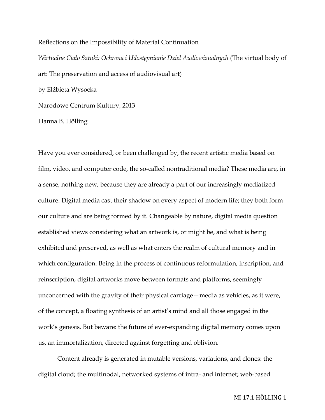Reflections on the Impossibility of Material Continuation *Wirtualne Ciało Sztuki: Ochrona i Udostępnianie Dziel Audiowizualnych* (The virtual body of art: The preservation and access of audiovisual art) by Elżbieta Wysocka Narodowe Centrum Kultury, 2013 Hanna B. Hölling

Have you ever considered, or been challenged by, the recent artistic media based on film, video, and computer code, the so-called nontraditional media? These media are, in a sense, nothing new, because they are already a part of our increasingly mediatized culture. Digital media cast their shadow on every aspect of modern life; they both form our culture and are being formed by it. Changeable by nature, digital media question established views considering what an artwork is, or might be, and what is being exhibited and preserved, as well as what enters the realm of cultural memory and in which configuration. Being in the process of continuous reformulation, inscription, and reinscription, digital artworks move between formats and platforms, seemingly unconcerned with the gravity of their physical carriage—media as vehicles, as it were, of the concept, a floating synthesis of an artist's mind and all those engaged in the work's genesis. But beware: the future of ever-expanding digital memory comes upon us, an immortalization, directed against forgetting and oblivion.

Content already is generated in mutable versions, variations, and clones: the digital cloud; the multinodal, networked systems of intra- and internet; web-based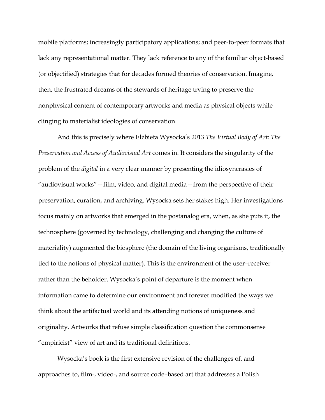mobile platforms; increasingly participatory applications; and peer-to-peer formats that lack any representational matter. They lack reference to any of the familiar object-based (or objectified) strategies that for decades formed theories of conservation. Imagine, then, the frustrated dreams of the stewards of heritage trying to preserve the nonphysical content of contemporary artworks and media as physical objects while clinging to materialist ideologies of conservation.

And this is precisely where Elżbieta Wysocka's 2013 *The Virtual Body of Art: The Preservation and Access of Audiovisual Art* comes in. It considers the singularity of the problem of the *digital* in a very clear manner by presenting the idiosyncrasies of "audiovisual works"—film, video, and digital media—from the perspective of their preservation, curation, and archiving. Wysocka sets her stakes high. Her investigations focus mainly on artworks that emerged in the postanalog era, when, as she puts it, the technosphere (governed by technology, challenging and changing the culture of materiality) augmented the biosphere (the domain of the living organisms, traditionally tied to the notions of physical matter). This is the environment of the user–receiver rather than the beholder. Wysocka's point of departure is the moment when information came to determine our environment and forever modified the ways we think about the artifactual world and its attending notions of uniqueness and originality. Artworks that refuse simple classification question the commonsense "empiricist" view of art and its traditional definitions.

Wysocka's book is the first extensive revision of the challenges of, and approaches to, film-, video-, and source code–based art that addresses a Polish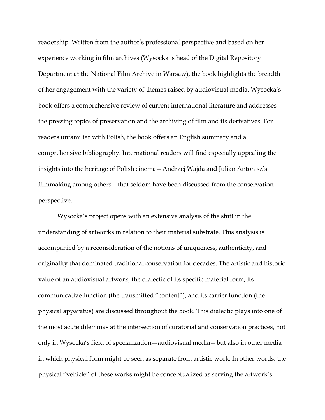readership. Written from the author's professional perspective and based on her experience working in film archives (Wysocka is head of the Digital Repository Department at the National Film Archive in Warsaw), the book highlights the breadth of her engagement with the variety of themes raised by audiovisual media. Wysocka's book offers a comprehensive review of current international literature and addresses the pressing topics of preservation and the archiving of film and its derivatives. For readers unfamiliar with Polish, the book offers an English summary and a comprehensive bibliography. International readers will find especially appealing the insights into the heritage of Polish cinema—Andrzej Wajda and Julian Antonisz's filmmaking among others—that seldom have been discussed from the conservation perspective.

Wysocka's project opens with an extensive analysis of the shift in the understanding of artworks in relation to their material substrate. This analysis is accompanied by a reconsideration of the notions of uniqueness, authenticity, and originality that dominated traditional conservation for decades. The artistic and historic value of an audiovisual artwork, the dialectic of its specific material form, its communicative function (the transmitted "content"), and its carrier function (the physical apparatus) are discussed throughout the book. This dialectic plays into one of the most acute dilemmas at the intersection of curatorial and conservation practices, not only in Wysocka's field of specialization—audiovisual media—but also in other media in which physical form might be seen as separate from artistic work. In other words, the physical "vehicle" of these works might be conceptualized as serving the artwork's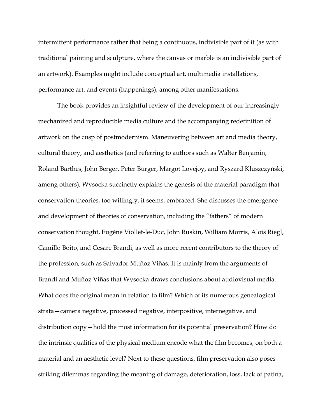intermittent performance rather that being a continuous, indivisible part of it (as with traditional painting and sculpture, where the canvas or marble is an indivisible part of an artwork). Examples might include conceptual art, multimedia installations, performance art, and events (happenings), among other manifestations.

The book provides an insightful review of the development of our increasingly mechanized and reproducible media culture and the accompanying redefinition of artwork on the cusp of postmodernism. Maneuvering between art and media theory, cultural theory, and aesthetics (and referring to authors such as Walter Benjamin, Roland Barthes, John Berger, Peter Burger, Margot Lovejoy, and Ryszard Kluszczyński, among others), Wysocka succinctly explains the genesis of the material paradigm that conservation theories, too willingly, it seems, embraced. She discusses the emergence and development of theories of conservation, including the "fathers" of modern conservation thought, Eugène Viollet-le-Duc, John Ruskin, William Morris, Alois Riegl, Camillo Boito, and Cesare Brandi, as well as more recent contributors to the theory of the profession, such as Salvador Muñoz Viñas. It is mainly from the arguments of Brandi and Muñoz Viñas that Wysocka draws conclusions about audiovisual media. What does the original mean in relation to film? Which of its numerous genealogical strata—camera negative, processed negative, interpositive, internegative, and distribution copy—hold the most information for its potential preservation? How do the intrinsic qualities of the physical medium encode what the film becomes, on both a material and an aesthetic level? Next to these questions, film preservation also poses striking dilemmas regarding the meaning of damage, deterioration, loss, lack of patina,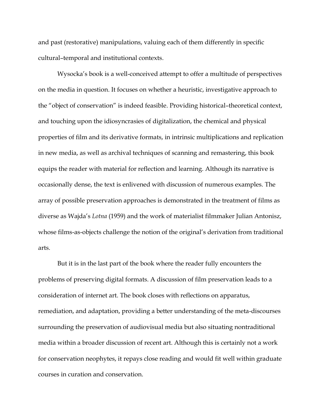and past (restorative) manipulations, valuing each of them differently in specific cultural–temporal and institutional contexts.

Wysocka's book is a well-conceived attempt to offer a multitude of perspectives on the media in question. It focuses on whether a heuristic, investigative approach to the "object of conservation" is indeed feasible. Providing historical–theoretical context, and touching upon the idiosyncrasies of digitalization, the chemical and physical properties of film and its derivative formats, in intrinsic multiplications and replication in new media, as well as archival techniques of scanning and remastering, this book equips the reader with material for reflection and learning. Although its narrative is occasionally dense, the text is enlivened with discussion of numerous examples. The array of possible preservation approaches is demonstrated in the treatment of films as diverse as Wajda's *Lotna* (1959) and the work of materialist filmmaker Julian Antonisz, whose films-as-objects challenge the notion of the original's derivation from traditional arts.

But it is in the last part of the book where the reader fully encounters the problems of preserving digital formats. A discussion of film preservation leads to a consideration of internet art. The book closes with reflections on apparatus, remediation, and adaptation, providing a better understanding of the meta-discourses surrounding the preservation of audiovisual media but also situating nontraditional media within a broader discussion of recent art. Although this is certainly not a work for conservation neophytes, it repays close reading and would fit well within graduate courses in curation and conservation.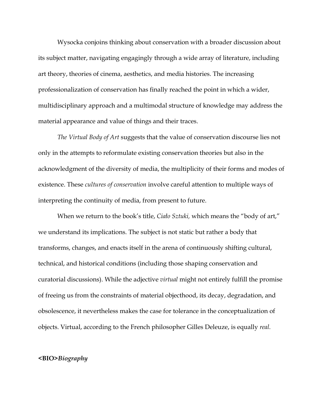Wysocka conjoins thinking about conservation with a broader discussion about its subject matter, navigating engagingly through a wide array of literature, including art theory, theories of cinema, aesthetics, and media histories. The increasing professionalization of conservation has finally reached the point in which a wider, multidisciplinary approach and a multimodal structure of knowledge may address the material appearance and value of things and their traces.

*The Virtual Body of Art* suggests that the value of conservation discourse lies not only in the attempts to reformulate existing conservation theories but also in the acknowledgment of the diversity of media, the multiplicity of their forms and modes of existence. These *cultures of conservation* involve careful attention to multiple ways of interpreting the continuity of media, from present to future.

When we return to the book's title, *Ciało Sztuki,* which means the "body of art," we understand its implications. The subject is not static but rather a body that transforms, changes, and enacts itself in the arena of continuously shifting cultural, technical, and historical conditions (including those shaping conservation and curatorial discussions). While the adjective *virtual* might not entirely fulfill the promise of freeing us from the constraints of material objecthood, its decay, degradation, and obsolescence, it nevertheless makes the case for tolerance in the conceptualization of objects. Virtual, according to the French philosopher Gilles Deleuze, is equally *real.*

## **<BIO>***Biography*